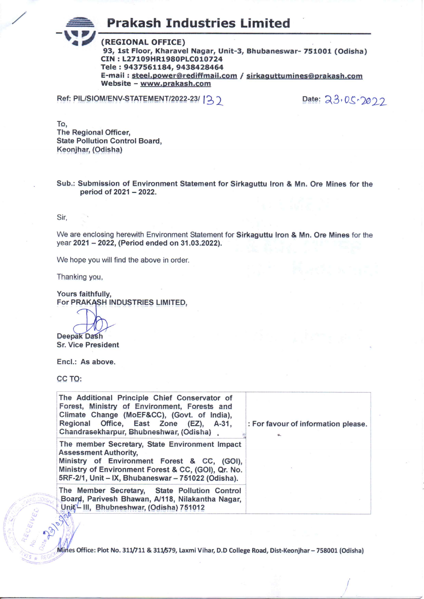**Prakash Industries Limited** 

(REGIONAL OFFICE) 93, 1st Floor, Kharavel Nagar, Unit-3, Bhubaneswar- 751001 (Odisha) CIN: L27109HR1980PLC010724 Tele: 9437561184, 9438428464 E-mail: steel.power@rediffmail.com / sirkaguttumines@prakash.com Website - www.prakash.com

Ref: PIL/SIOM/ENV-STATEMENT/2022-23/ 13

Date: 23.05.2022

To. **The Regional Officer, State Pollution Control Board,** Keonjhar, (Odisha)

Sub.: Submission of Environment Statement for Sirkaguttu Iron & Mn. Ore Mines for the period of 2021 - 2022.

Sir.

We are enclosing herewith Environment Statement for Sirkaguttu Iron & Mn. Ore Mines for the year 2021 - 2022, (Period ended on 31.03.2022).

We hope you will find the above in order.

Thanking you,

Yours faithfully, For PRAKASH INDUSTRIES LIMITED,

Deepak Dash

**Sr. Vice President** 

Encl.: As above.

CC TO:

| The Additional Principle Chief Conservator of<br>Forest, Ministry of Environment, Forests and<br>Climate Change (MoEF&CC), (Govt. of India),<br>Regional Office, East Zone (EZ), A-31,<br>Chandrasekharpur, Bhubneshwar, (Odisha)          | : For favour of information please. |
|--------------------------------------------------------------------------------------------------------------------------------------------------------------------------------------------------------------------------------------------|-------------------------------------|
| The member Secretary, State Environment Impact<br><b>Assessment Authority,</b><br>Ministry of Environment Forest & CC, (GOI),<br>Ministry of Environment Forest & CC, (GOI), Qr. No.<br>5RF-2/1, Unit - IX, Bhubaneswar - 751022 (Odisha). |                                     |
| The Member Secretary, State Pollution Control<br>Board, Parivesh Bhawan, A/118, Nilakantha Nagar,<br>Unif - III, Bhubneshwar, (Odisha) 751012                                                                                              |                                     |

Mines Office: Plot No. 311/711 & 311/579, Laxmi Vihar, D.D College Road, Dist-Keonjhar - 758001 (Odisha)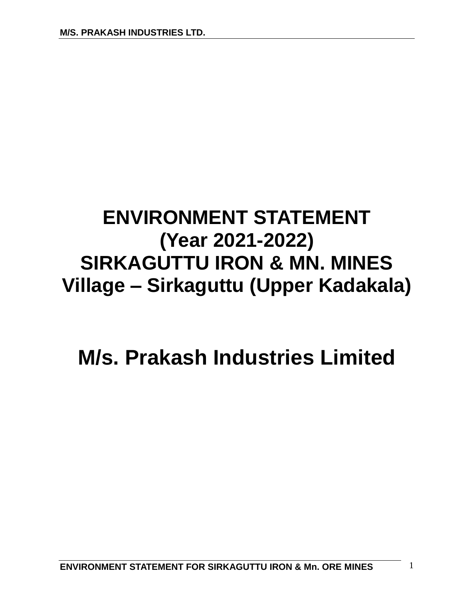# **ENVIRONMENT STATEMENT (Year 2021-2022) SIRKAGUTTU IRON & MN. MINES Village – Sirkaguttu (Upper Kadakala)**

# **M/s. Prakash Industries Limited**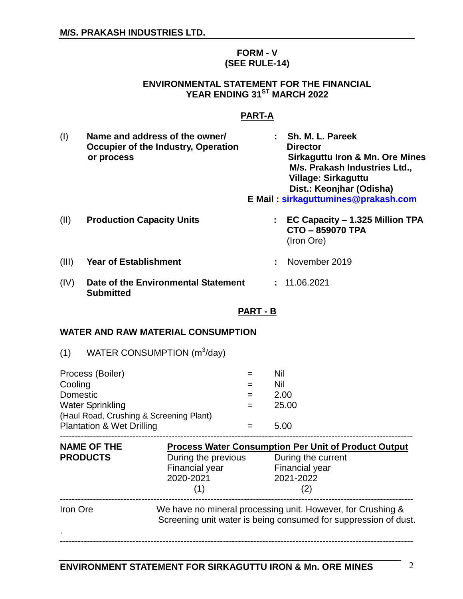#### **FORM - V (SEE RULE-14)**

#### **ENVIRONMENTAL STATEMENT FOR THE FINANCIAL YEAR ENDING 31ST MARCH 2022**

# **PART-A**

| (1)   | Name and address of the owner/<br>Occupier of the Industry, Operation<br>or process |   | : Sh. M. L. Pareek<br><b>Director</b><br><b>Sirkaguttu Iron &amp; Mn. Ore Mines</b><br>M/s. Prakash Industries Ltd.,<br>Village: Sirkaguttu<br>Dist.: Keonjhar (Odisha)<br>E Mail: sirkaguttumines@prakash.com |
|-------|-------------------------------------------------------------------------------------|---|----------------------------------------------------------------------------------------------------------------------------------------------------------------------------------------------------------------|
| (11)  | <b>Production Capacity Units</b>                                                    |   | $\therefore$ EC Capacity – 1.325 Million TPA<br>CTO - 859070 TPA<br>(Iron Ore)                                                                                                                                 |
| (III) | <b>Year of Establishment</b>                                                        | ÷ | November 2019                                                                                                                                                                                                  |
| (IV)  | Date of the Environmental Statement<br><b>Submitted</b>                             |   | : 11.06.2021                                                                                                                                                                                                   |

#### **PART - B**

#### **WATER AND RAW MATERIAL CONSUMPTION**

| WATER CONSUMPTION (m <sup>3</sup> /day)<br>(1) |       |
|------------------------------------------------|-------|
| Process (Boiler)                               | Nil   |
| Cooling                                        | Nil   |
| Domestic                                       | 2.00  |
| <b>Water Sprinkling</b>                        | 25.00 |
| (Haul Road, Crushing & Screening Plant)        |       |
| <b>Plantation &amp; Wet Drilling</b>           | 5.00  |
|                                                |       |

| <b>NAME OF THE</b> | <b>Process Water Consumption Per Unit of Product Output</b>                                                                    |                    |  |
|--------------------|--------------------------------------------------------------------------------------------------------------------------------|--------------------|--|
| <b>PRODUCTS</b>    | During the previous                                                                                                            | During the current |  |
|                    | Financial year                                                                                                                 | Financial year     |  |
|                    | 2020-2021                                                                                                                      | 2021-2022          |  |
|                    |                                                                                                                                | (2)                |  |
| Iron Ore           | We have no mineral processing unit. However, for Crushing &<br>Screening unit water is being consumed for suppression of dust. |                    |  |
|                    |                                                                                                                                |                    |  |
|                    |                                                                                                                                |                    |  |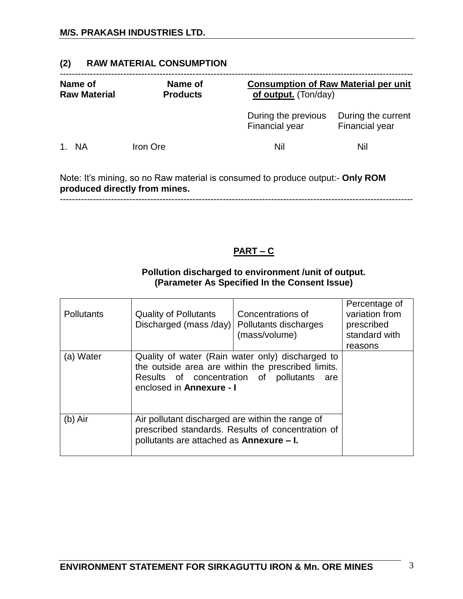# **(2) RAW MATERIAL CONSUMPTION**

| Name of<br><b>Raw Material</b> | Name of<br><b>Products</b> | <b>Consumption of Raw Material per unit</b><br>of output. (Ton/day)                  |                                             |
|--------------------------------|----------------------------|--------------------------------------------------------------------------------------|---------------------------------------------|
|                                |                            | During the previous<br>Financial year                                                | During the current<br><b>Financial year</b> |
| <b>NA</b><br>1.                | Iron Ore                   | Nil                                                                                  | Nil                                         |
|                                |                            | Note: It's mining so no Raw material is consumed to produce output:- <b>Only ROM</b> |                                             |

Note: It's mining, so no Raw material is consumed to produce output:- **Only ROM produced directly from mines.** ---------------------------------------------------------------------------------------------------------------------

# **PART – C**

# **Pollution discharged to environment /unit of output. (Parameter As Specified In the Consent Issue)**

| <b>Pollutants</b> | <b>Quality of Pollutants</b><br>Discharged (mass /day)                                                                                                                                 | Concentrations of<br>Pollutants discharges<br>(mass/volume) | Percentage of<br>variation from<br>prescribed<br>standard with<br>reasons |
|-------------------|----------------------------------------------------------------------------------------------------------------------------------------------------------------------------------------|-------------------------------------------------------------|---------------------------------------------------------------------------|
| (a) Water         | Quality of water (Rain water only) discharged to<br>the outside area are within the prescribed limits.<br>Results of concentration of<br>pollutants<br>are<br>enclosed in Annexure - I |                                                             |                                                                           |
| $(b)$ Air         | Air pollutant discharged are within the range of<br>prescribed standards. Results of concentration of<br>pollutants are attached as Annexure - I.                                      |                                                             |                                                                           |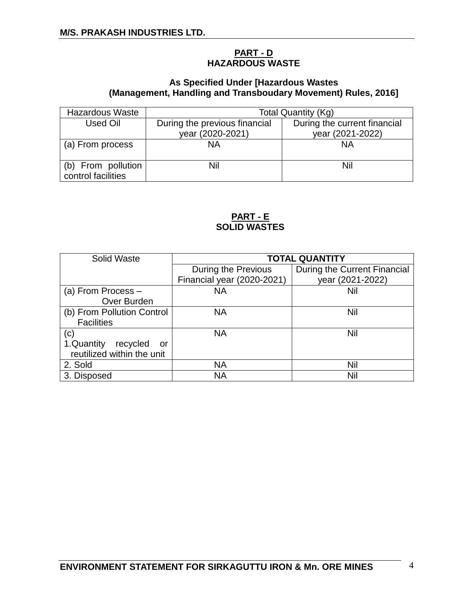# **PART - D HAZARDOUS WASTE**

# **As Specified Under [Hazardous Wastes (Management, Handling and Transboudary Movement) Rules, 2016]**

| <b>Hazardous Waste</b>                   | Total Quantity (Kg)           |                              |
|------------------------------------------|-------------------------------|------------------------------|
| Used Oil                                 | During the previous financial | During the current financial |
|                                          | year (2020-2021)              | year (2021-2022)             |
| (a) From process                         | <b>NA</b>                     | <b>NA</b>                    |
| (b) From pollution<br>control facilities | Nil                           | Nil                          |

# **PART - E SOLID WASTES**

| Solid Waste                  | <b>TOTAL QUANTITY</b>      |                              |  |
|------------------------------|----------------------------|------------------------------|--|
|                              | During the Previous        | During the Current Financial |  |
|                              | Financial year (2020-2021) | year (2021-2022)             |  |
| (a) From Process $-$         | <b>NA</b>                  | Nil                          |  |
| Over Burden                  |                            |                              |  |
| (b) From Pollution Control   | <b>NA</b>                  | Nil                          |  |
| <b>Facilities</b>            |                            |                              |  |
| (c)                          | <b>NA</b>                  | Nil                          |  |
| 1.Quantity<br>recycled<br>or |                            |                              |  |
| reutilized within the unit   |                            |                              |  |
| 2. Sold                      | <b>NA</b>                  | Nil                          |  |
| 3. Disposed                  | ΝA                         | Nil                          |  |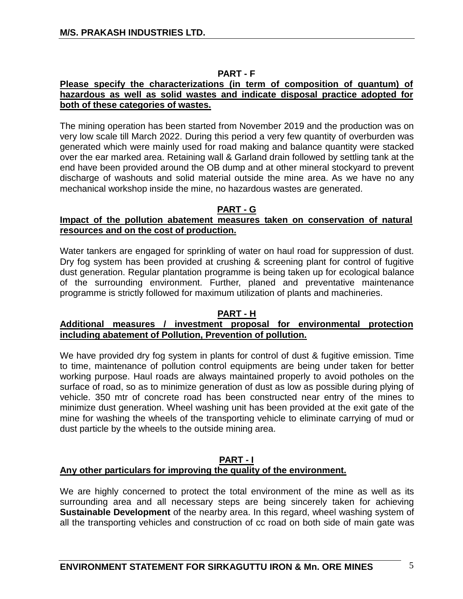# **PART - F**

#### **Please specify the characterizations (in term of composition of quantum) of hazardous as well as solid wastes and indicate disposal practice adopted for both of these categories of wastes.**

The mining operation has been started from November 2019 and the production was on very low scale till March 2022. During this period a very few quantity of overburden was generated which were mainly used for road making and balance quantity were stacked over the ear marked area. Retaining wall & Garland drain followed by settling tank at the end have been provided around the OB dump and at other mineral stockyard to prevent discharge of washouts and solid material outside the mine area. As we have no any mechanical workshop inside the mine, no hazardous wastes are generated.

#### **PART - G**

# **Impact of the pollution abatement measures taken on conservation of natural resources and on the cost of production.**

Water tankers are engaged for sprinkling of water on haul road for suppression of dust. Dry fog system has been provided at crushing & screening plant for control of fugitive dust generation. Regular plantation programme is being taken up for ecological balance of the surrounding environment. Further, planed and preventative maintenance programme is strictly followed for maximum utilization of plants and machineries.

#### **PART - H**

#### **Additional measures / investment proposal for environmental protection including abatement of Pollution, Prevention of pollution.**

We have provided dry fog system in plants for control of dust & fugitive emission. Time to time, maintenance of pollution control equipments are being under taken for better working purpose. Haul roads are always maintained properly to avoid potholes on the surface of road, so as to minimize generation of dust as low as possible during plying of vehicle. 350 mtr of concrete road has been constructed near entry of the mines to minimize dust generation. Wheel washing unit has been provided at the exit gate of the mine for washing the wheels of the transporting vehicle to eliminate carrying of mud or dust particle by the wheels to the outside mining area.

# **PART - I Any other particulars for improving the quality of the environment.**

We are highly concerned to protect the total environment of the mine as well as its surrounding area and all necessary steps are being sincerely taken for achieving **Sustainable Development** of the nearby area. In this regard, wheel washing system of all the transporting vehicles and construction of cc road on both side of main gate was